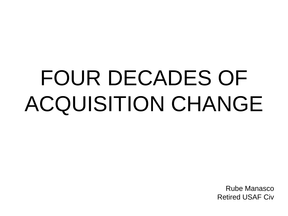# FOUR DECADES OF ACQUISITION CHANGE

Rube Manasco Retired USAF Civ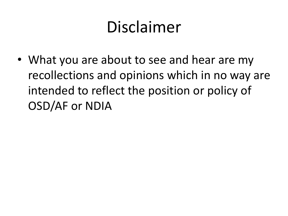#### Disclaimer

• What you are about to see and hear are my recollections and opinions which in no way are intended to reflect the position or policy of OSD/AF or NDIA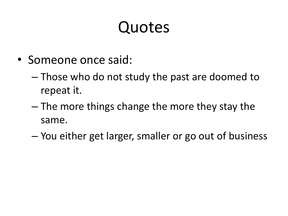#### Quotes

- Someone once said:
	- Those who do not study the past are doomed to repeat it.
	- The more things change the more they stay the same.
	- You either get larger, smaller or go out of business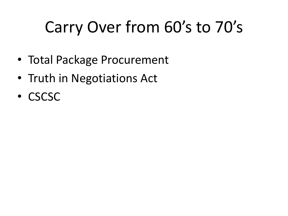## Carry Over from 60's to 70's

- Total Package Procurement
- Truth in Negotiations Act
- CSCSC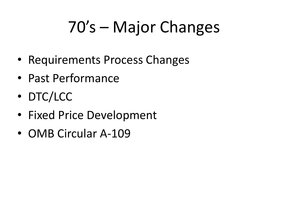# 70's – Major Changes

- Requirements Process Changes
- Past Performance
- DTC/LCC
- Fixed Price Development
- OMB Circular A-109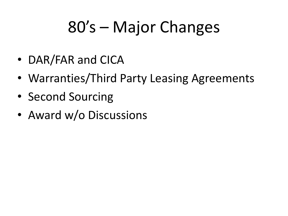## 80's – Major Changes

- DAR/FAR and CICA
- Warranties/Third Party Leasing Agreements
- Second Sourcing
- Award w/o Discussions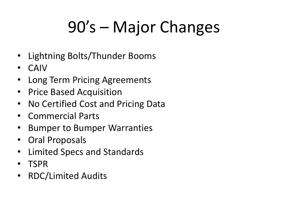# 90's – Major Changes

- Lightning Bolts/Thunder Booms
- CAIV
- Long Term Pricing Agreements
- Price Based Acquisition
- No Certified Cost and Pricing Data
- Commercial Parts
- Bumper to Bumper Warranties
- Oral Proposals
- Limited Specs and Standards
- TSPR
- RDC/Limited Audits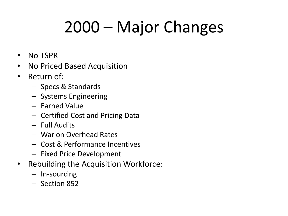# 2000 – Major Changes

- No TSPR
- No Priced Based Acquisition
- Return of:
	- Specs & Standards
	- Systems Engineering
	- Earned Value
	- Certified Cost and Pricing Data
	- Full Audits
	- War on Overhead Rates
	- Cost & Performance Incentives
	- Fixed Price Development
- Rebuilding the Acquisition Workforce:
	- In-sourcing
	- Section 852